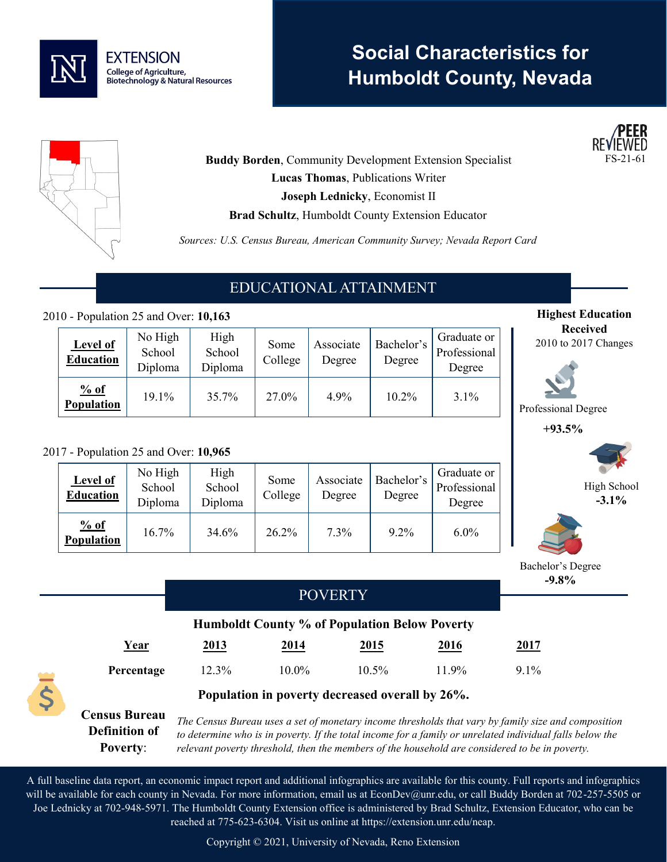

# **Social Characteristics for Humboldt County, Nevada**



**Highest Education Received** 2010 to 2017 Changes

> High School **-3.1%**

Professional Degree **+93.5%**

**Buddy Borden, Community Development Extension Specialist Lucas Thomas**, Publications Writer **Joseph Lednicky**, Economist II **Brad Schultz**, Humboldt County Extension Educator

*Sources: U.S. Census Bureau, American Community Survey; Nevada Report Card*

# EDUCATIONAL ATTAINMENT

### 2010 - Population 25 and Over: **10,163**

| <b>Level of</b><br><b>Education</b> | No High<br>School<br>Diploma | High<br>School<br>Diploma | Some<br>College | Associate<br>Degree | Bachelor's<br>Degree | Graduate or<br>Professional<br>Degree |
|-------------------------------------|------------------------------|---------------------------|-----------------|---------------------|----------------------|---------------------------------------|
| % of<br><b>Population</b>           | 19.1%                        | 35.7%                     | 27.0%           | 4.9%                | 10.2%                | 3.1%                                  |

#### 2017 - Population 25 and Over: **10,965**

| Level of<br><b>Education</b> | No High<br>School<br>Diploma | High<br>School<br>Diploma | Some<br>College | Associate<br>Degree | Bachelor's<br>Degree | Graduate or<br>Professional<br>Degree |
|------------------------------|------------------------------|---------------------------|-----------------|---------------------|----------------------|---------------------------------------|
| % of<br>Population           | 16.7%                        | 34.6%                     | 26.2%           | $7.3\%$             | $9.2\%$              | $6.0\%$                               |



A full baseline data report, an economic impact report and additional infographics are available for this county. Full reports and infographics will be available for each county in Nevada. For more information, email us at EconDev@unr.edu, or call Buddy Borden at 702-257-5505 or Joe Lednicky at 702-948-5971. The Humboldt County Extension office is administered by Brad Schultz, Extension Educator, who can be reached at 775-623-6304. Visit us online at https://extension.unr.edu/neap.

Copyright © 2021, University of Nevada, Reno Extension